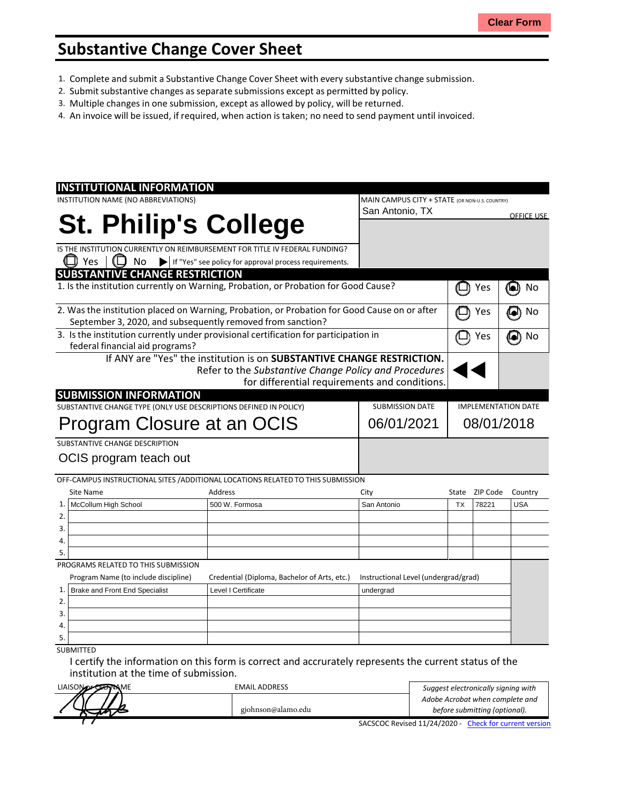## **Substantive Change Cover Sheet**

- 1. Complete and submit a Substantive Change Cover Sheet with every substantive change submission.
- 2. Submit substantive changes asseparate submissions except as permitted by policy.
- 3. Multiple changes in one submission, except as allowed by policy, will be returned.
- 4. An invoice will be issued, if required, when action is taken; no need to send payment until invoiced.

| <b>INSTITUTIONAL INFORMATION</b>                                                                                                                           |                                                                                     |  |                                                |                            |          |                   |
|------------------------------------------------------------------------------------------------------------------------------------------------------------|-------------------------------------------------------------------------------------|--|------------------------------------------------|----------------------------|----------|-------------------|
| INSTITUTION NAME (NO ABBREVIATIONS)                                                                                                                        |                                                                                     |  | MAIN CAMPUS CITY + STATE (OR NON-U.S. COUNTRY) |                            |          |                   |
|                                                                                                                                                            |                                                                                     |  | San Antonio, TX                                |                            |          | <b>OFFICE USE</b> |
| <b>St. Philip's College</b>                                                                                                                                |                                                                                     |  |                                                |                            |          |                   |
|                                                                                                                                                            |                                                                                     |  |                                                |                            |          |                   |
|                                                                                                                                                            | IS THE INSTITUTION CURRENTLY ON REIMBURSEMENT FOR TITLE IV FEDERAL FUNDING?         |  |                                                |                            |          |                   |
| $\Box$ Yes<br>No                                                                                                                                           | If "Yes" see policy for approval process requirements.                              |  |                                                |                            |          |                   |
| <b>SUBSTANTIVE CHANGE RESTRICTION</b>                                                                                                                      |                                                                                     |  |                                                |                            |          |                   |
|                                                                                                                                                            | 1. Is the institution currently on Warning, Probation, or Probation for Good Cause? |  |                                                |                            | Yes      | 0<br>No           |
| 2. Was the institution placed on Warning, Probation, or Probation for Good Cause on or after<br>September 3, 2020, and subsequently removed from sanction? |                                                                                     |  |                                                |                            | Yes      | No<br>$\bullet$   |
| 3. Is the institution currently under provisional certification for participation in<br>federal financial aid programs?                                    |                                                                                     |  |                                                |                            | Yes      | No<br>[el         |
|                                                                                                                                                            | If ANY are "Yes" the institution is on SUBSTANTIVE CHANGE RESTRICTION.              |  |                                                |                            |          |                   |
|                                                                                                                                                            | Refer to the Substantive Change Policy and Procedures                               |  |                                                |                            |          |                   |
|                                                                                                                                                            |                                                                                     |  | for differential requirements and conditions.  |                            |          |                   |
| <b>SUBMISSION INFORMATION</b>                                                                                                                              |                                                                                     |  |                                                |                            |          |                   |
| SUBSTANTIVE CHANGE TYPE (ONLY USE DESCRIPTIONS DEFINED IN POLICY)                                                                                          |                                                                                     |  | <b>SUBMISSION DATE</b>                         | <b>IMPLEMENTATION DATE</b> |          |                   |
| Program Closure at an OCIS                                                                                                                                 |                                                                                     |  | 06/01/2021                                     | 08/01/2018                 |          |                   |
| SUBSTANTIVE CHANGE DESCRIPTION                                                                                                                             |                                                                                     |  |                                                |                            |          |                   |
| OCIS program teach out                                                                                                                                     |                                                                                     |  |                                                |                            |          |                   |
|                                                                                                                                                            |                                                                                     |  |                                                |                            |          |                   |
|                                                                                                                                                            | OFF-CAMPUS INSTRUCTIONAL SITES / ADDITIONAL LOCATIONS RELATED TO THIS SUBMISSION    |  |                                                |                            |          |                   |
| Site Name                                                                                                                                                  | Address                                                                             |  | City                                           | State                      | ZIP Code | Country           |
| McCollum High School<br>1.                                                                                                                                 | 500 W. Formosa                                                                      |  | San Antonio                                    | <b>TX</b>                  | 78221    | <b>USA</b>        |
| 2.                                                                                                                                                         |                                                                                     |  |                                                |                            |          |                   |
| 3.                                                                                                                                                         |                                                                                     |  |                                                |                            |          |                   |
| 4.                                                                                                                                                         |                                                                                     |  |                                                |                            |          |                   |
| 5.                                                                                                                                                         |                                                                                     |  |                                                |                            |          |                   |
| PROGRAMS RELATED TO THIS SUBMISSION                                                                                                                        |                                                                                     |  |                                                |                            |          |                   |
| Program Name (to include discipline)                                                                                                                       | Credential (Diploma, Bachelor of Arts, etc.)                                        |  | Instructional Level (undergrad/grad)           |                            |          |                   |
| Brake and Front End Specialist<br>1.                                                                                                                       | Level I Certificate                                                                 |  | undergrad                                      |                            |          |                   |
| 2.                                                                                                                                                         |                                                                                     |  |                                                |                            |          |                   |
| 3.                                                                                                                                                         |                                                                                     |  |                                                |                            |          |                   |
| 4.                                                                                                                                                         |                                                                                     |  |                                                |                            |          |                   |
| 5.<br><b>SUBMITTED</b>                                                                                                                                     |                                                                                     |  |                                                |                            |          |                   |
|                                                                                                                                                            |                                                                                     |  |                                                |                            |          |                   |

I certify the information on this form is correct and accrurately represents the current status of the institution at the time of submission.

| LIAISON OF CERTINAME | <b>EMAIL ADDRESS</b> | Suggest electronically signing with                    |  |  |
|----------------------|----------------------|--------------------------------------------------------|--|--|
|                      |                      | Adobe Acrobat when complete and                        |  |  |
|                      | gjohnson@alamo.edu   | before submitting (optional).                          |  |  |
|                      |                      | SACSCOC Revised 11/24/2020 - Check for current version |  |  |

SACSCOC Revised 11/24/2020 - Check for current version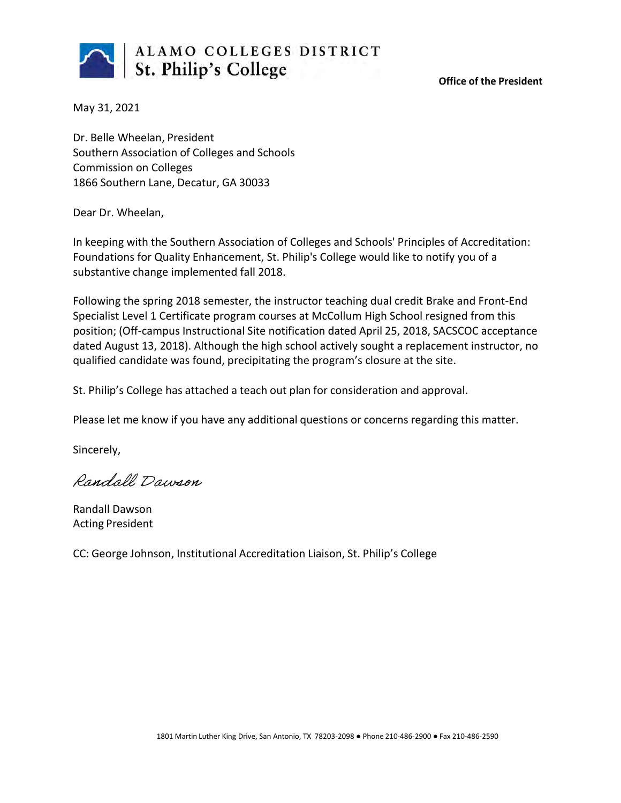

**Office of the President**

May 31, 2021

Dr. Belle Wheelan, President Southern Association of Colleges and Schools Commission on Colleges 1866 Southern Lane, Decatur, GA 30033

Dear Dr. Wheelan,

In keeping with the Southern Association of Colleges and Schools' Principles of Accreditation: Foundations for Quality Enhancement, St. Philip's College would like to notify you of a substantive change implemented fall 2018.

Following the spring 2018 semester, the instructor teaching dual credit Brake and Front-End Specialist Level 1 Certificate program courses at McCollum High School resigned from this position; (Off-campus Instructional Site notification dated April 25, 2018, SACSCOC acceptance dated August 13, 2018). Although the high school actively sought a replacement instructor, no qualified candidate was found, precipitating the program's closure at the site.

St. Philip's College has attached a teach out plan for consideration and approval.

Please let me know if you have any additional questions or concerns regarding this matter.

Sincerely,

Randall Dawson

Randall Dawson Acting President

CC: George Johnson, Institutional Accreditation Liaison, St. Philip's College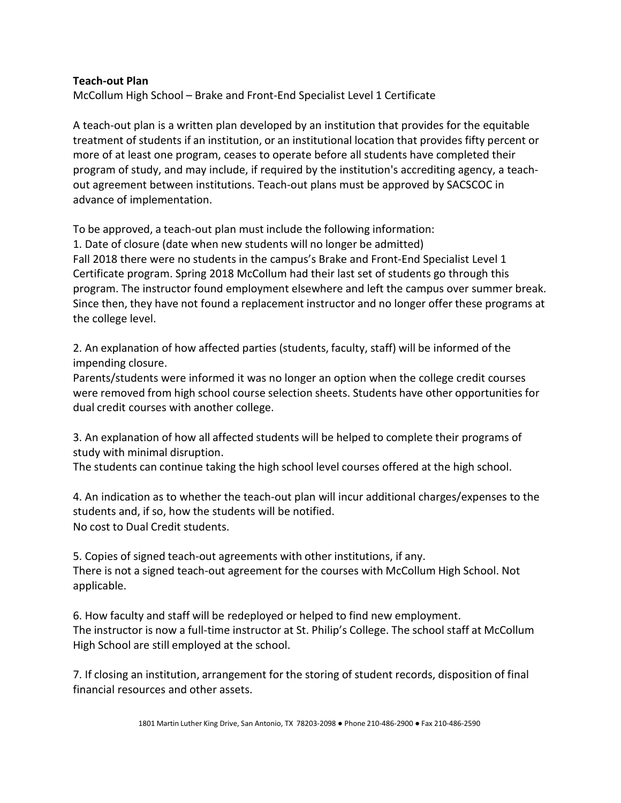## **Teach-out Plan**

McCollum High School – Brake and Front-End Specialist Level 1 Certificate

A teach-out plan is a written plan developed by an institution that provides for the equitable treatment of students if an institution, or an institutional location that provides fifty percent or more of at least one program, ceases to operate before all students have completed their program of study, and may include, if required by the institution's accrediting agency, a teachout agreement between institutions. Teach-out plans must be approved by SACSCOC in advance of implementation.

To be approved, a teach-out plan must include the following information:

1. Date of closure (date when new students will no longer be admitted) Fall 2018 there were no students in the campus's Brake and Front-End Specialist Level 1 Certificate program. Spring 2018 McCollum had their last set of students go through this program. The instructor found employment elsewhere and left the campus over summer break. Since then, they have not found a replacement instructor and no longer offer these programs at the college level.

2. An explanation of how affected parties (students, faculty, staff) will be informed of the impending closure.

Parents/students were informed it was no longer an option when the college credit courses were removed from high school course selection sheets. Students have other opportunities for dual credit courses with another college.

3. An explanation of how all affected students will be helped to complete their programs of study with minimal disruption.

The students can continue taking the high school level courses offered at the high school.

4. An indication as to whether the teach-out plan will incur additional charges/expenses to the students and, if so, how the students will be notified. No cost to Dual Credit students.

5. Copies of signed teach-out agreements with other institutions, if any. There is not a signed teach-out agreement for the courses with McCollum High School. Not applicable.

6. How faculty and staff will be redeployed or helped to find new employment. The instructor is now a full-time instructor at St. Philip's College. The school staff at McCollum High School are still employed at the school.

7. If closing an institution, arrangement for the storing of student records, disposition of final financial resources and other assets.